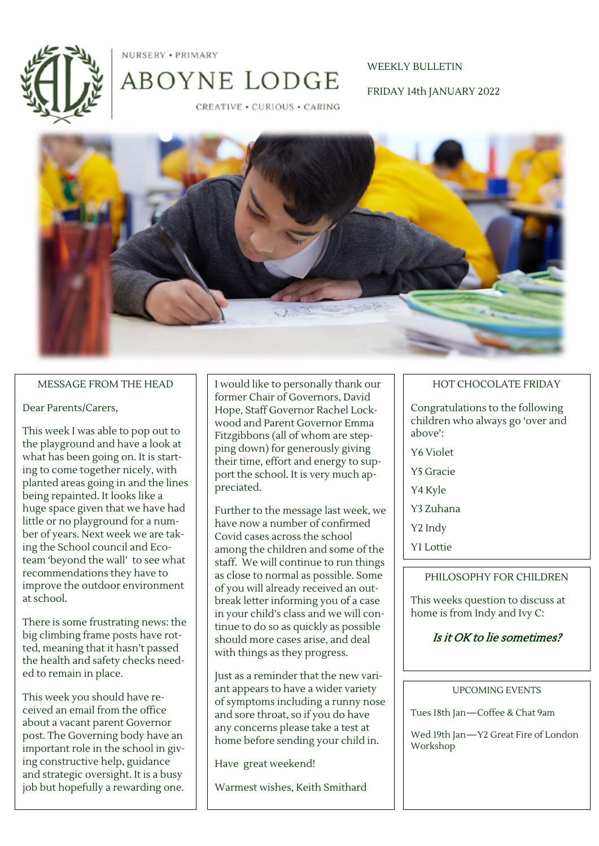

NURSERY . PRIMARY

# WEEKLY BULLETIN FRIDAY 14th JANUARY 2022

**CREATIVE · CURIOUS · CARING** 

ABOYNE LODGE



#### MESSAGE FROM THE HEAD

#### Dear Parents/Carers,

This week I was able to pop out to the playground and have a look at what has been going on. It is starting to come together nicely, with planted areas going in and the lines being repainted. It looks like a huge space given that we have had little or no playground for a number of years. Next week we are taking the School council and Ecoteam 'beyond the wall' to see what recommendations they have to improve the outdoor environment at school.

There is some frustrating news: the big climbing frame posts have rotted, meaning that it hasn't passed the health and safety checks needed to remain in place.

This week you should have received an email from the office about a vacant parent Governor post. The Governing body have an important role in the school in giving constructive help, guidance and strategic oversight. It is a busy job but hopefully a rewarding one.

I would like to personally thank our former Chair of Governors, David Hope, Staff Governor Rachel Lockwood and Parent Governor Emma Fitzgibbons (all of whom are stepping down) for generously giving their time, effort and energy to support the school. It is very much appreciated.

Further to the message last week, we have now a number of confirmed Covid cases across the school among the children and some of the staff. We will continue to run things as close to normal as possible. Some of you will already received an outbreak letter informing you of a case in your child's class and we will continue to do so as quickly as possible should more cases arise, and deal with things as they progress.

Just as a reminder that the new variant appears to have a wider variety of symptoms including a runny nose and sore throat, so if you do have any concerns please take a test at home before sending your child in.

Have great weekend!

Warmest wishes, Keith Smithard

#### HOT CHOCOLATE FRIDAY

Congratulations to the following children who always go 'over and above':

- Y6 Violet
- Y5 Gracie
- Y4 Kyle
- Y3 Zuhana
- Y2 Indy
- Y1 Lottie

#### PHILOSOPHY FOR CHILDREN

This weeks question to discuss at home is from Indy and Ivy C:

### Is it OK to lie sometimes?

#### UPCOMING EVENTS

Tues 18th Jan—Coffee & Chat 9am

Wed 19th Jan—Y2 Great Fire of London Workshop